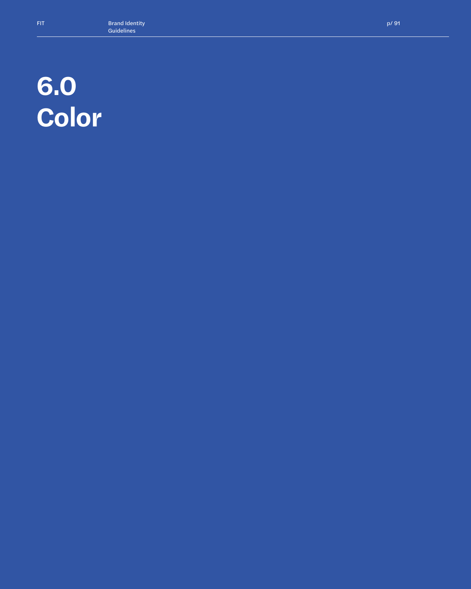## **6.0 Color**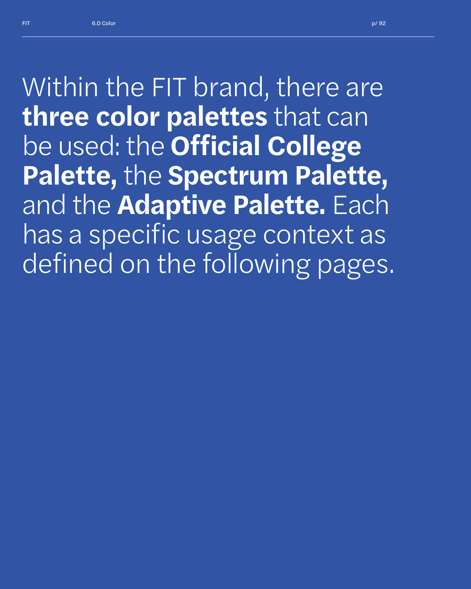*Within the FIT brand, there are*  **three color palettes** *that can be used: the* **Official College Palette,** *the* **Spectrum Palette,**  *and the* **Adaptive Palette.** *Each has a specific usage context as defined on the following pages.*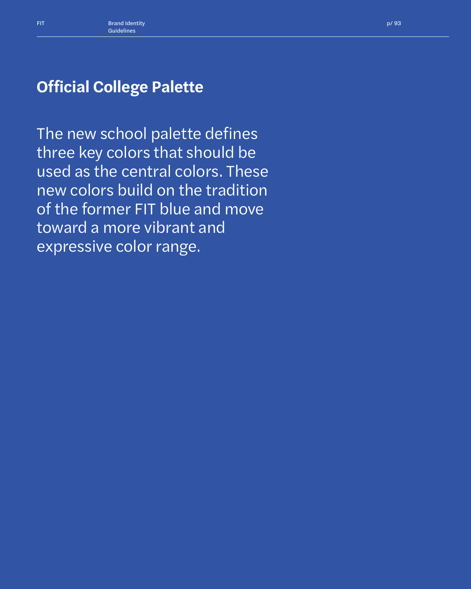The new school palette defines three key colors that should be used as the central colors. These new colors build on the tradition of the former FIT blue and move toward a more vibrant and expressive color range.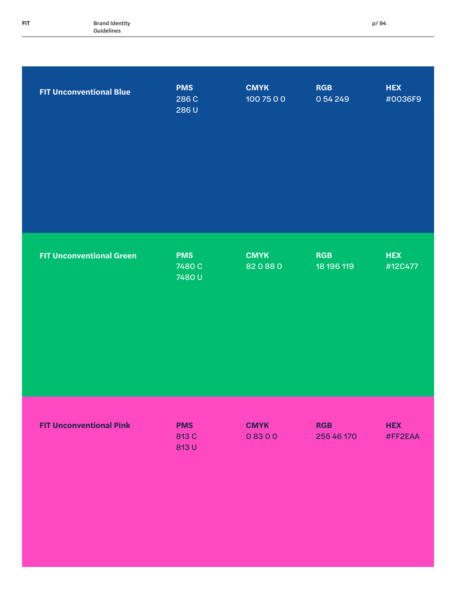| FIT | <b>Brand Identity</b> |  |
|-----|-----------------------|--|
|     | Guidelines            |  |

| <b>FIT Unconventional Blue</b>  | <b>PMS</b><br>286 C<br>286U   | <b>CMYK</b><br>100 75 0 0 | <b>RGB</b><br>0 54 249   | <b>HEX</b><br>#0036F9 |
|---------------------------------|-------------------------------|---------------------------|--------------------------|-----------------------|
| <b>FIT Unconventional Green</b> | <b>PMS</b><br>7480 C<br>7480U | <b>CMYK</b><br>820880     | <b>RGB</b><br>18 196 119 | <b>HEX</b><br>#12C477 |
| <b>FIT Unconventional Pink</b>  | <b>PMS</b><br>813 C<br>813 U  | <b>CMYK</b><br>08300      | <b>RGB</b><br>255 46 170 | <b>HEX</b><br>#FF2EAA |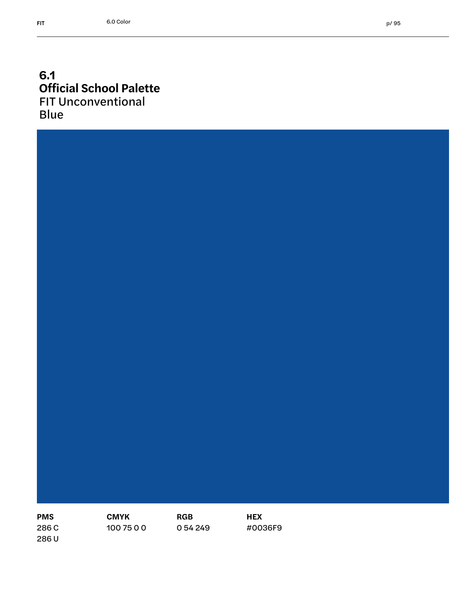#### **6.1 Official School Palette** FIT Unconventional Blue



**CMYK** 100 75 0 0

**RGB** 0 54 249 **HEX** #0036F9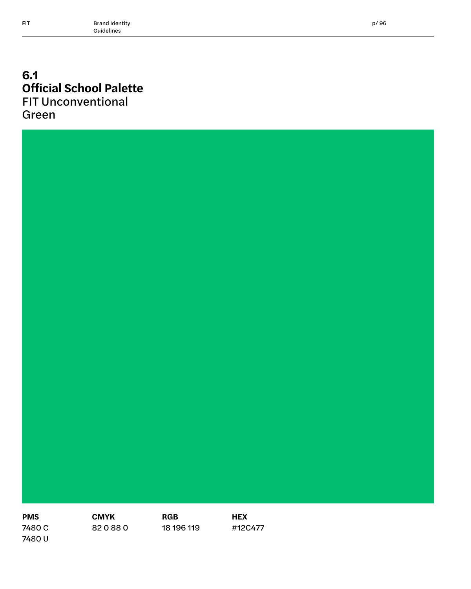#### **6.1 Official School Palette** FIT Unconventional Green



p/ 96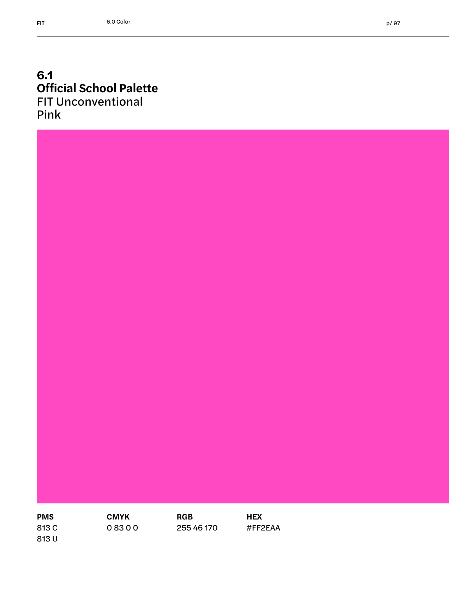#### **6.1 Official School Palette** FIT Unconventional Pink

**PMS** 

**CMYK**  0 83 0 0

**RGB** 255 46 170 **HEX** #FF2EAA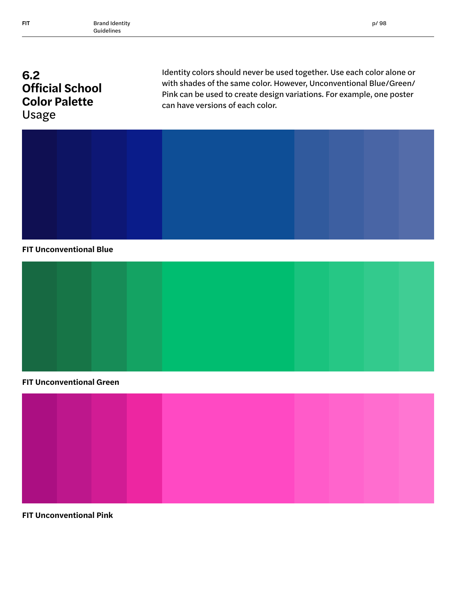## **6.2 Official School Color Palette**  Usage

Identity colors should never be used together. Use each color alone or with shades of the same color. However, Unconventional Blue/Green/ Pink can be used to create design variations. For example, one poster can have versions of each color.



#### **FIT Unconventional Blue**



#### **FIT Unconventional Green**



**FIT Unconventional Pink**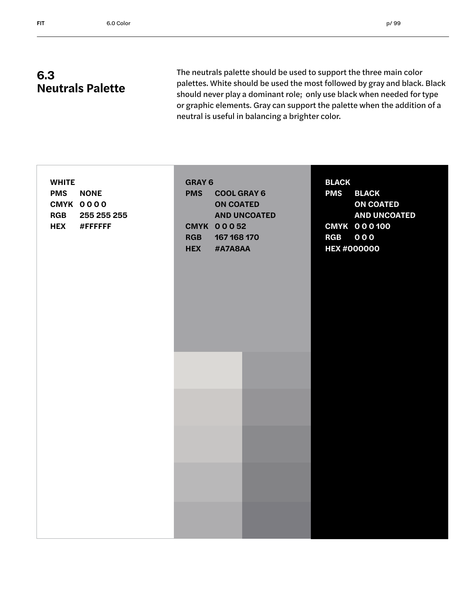The neutrals palette should be used to support the three main color palettes. White should be used the most followed by gray and black. Black should never play a dominant role; only use black when needed for type or graphic elements. Gray can support the palette when the addition of a neutral is useful in balancing a brighter color.

| <b>WHITE</b><br><b>PMS</b><br><b>NONE</b><br>CMYK 0000<br><b>RGB</b><br>255 255 255<br><b>HEX</b><br>#FFFFFF | <b>GRAY 6</b><br><b>PMS</b><br><b>COOL GRAY 6</b><br><b>ON COATED</b><br><b>AND UNCOATED</b><br><b>CMYK 00052</b><br><b>RGB</b><br>167 168 170<br><b>HEX</b><br>#A7A8AA | <b>BLACK</b><br><b>PMS</b><br><b>BLACK</b><br><b>ON COATED</b><br><b>AND UNCOATED</b><br><b>CMYK 000100</b><br><b>RGB 000</b><br><b>HEX #000000</b> |
|--------------------------------------------------------------------------------------------------------------|-------------------------------------------------------------------------------------------------------------------------------------------------------------------------|-----------------------------------------------------------------------------------------------------------------------------------------------------|
|                                                                                                              |                                                                                                                                                                         |                                                                                                                                                     |
|                                                                                                              |                                                                                                                                                                         |                                                                                                                                                     |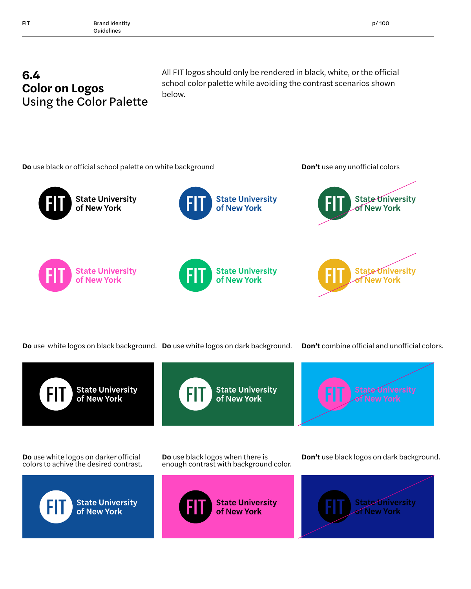## **6.4 Color on Logos**  Using the Color Palette

All FIT logos should only be rendered in black, white, or the official school color palette while avoiding the contrast scenarios shown below.



**Do** use white logos on black background. **Do** use white logos on dark background.

**Don't** combine official and unofficial colors.



**State University**<br>of New York



**Do** use white logos on darker official colors to achive the desired contrast.



**Do** use black logos when there is enough contrast with background color.





**Don't** use black logos on dark background.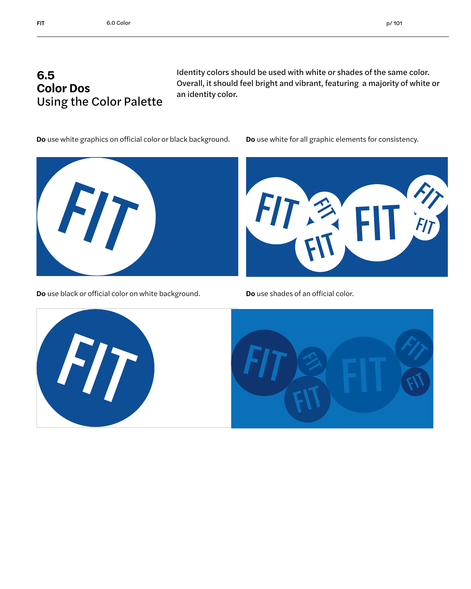Identity colors should be used with white or shades of the same color. Overall, it should feel bright and vibrant, featuring a majority of white or an identity color.

**Do** use white graphics on official color or black background. **Do** use white for all graphic elements for consistency.



**Do** use black or official color on white background. **Do** use shades of an official color.



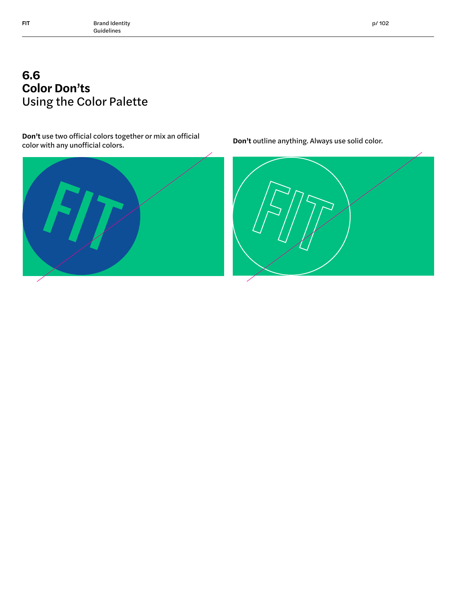## **6.6 Color Don'ts**  Using the Color Palette

**Don't** use two official colors together or mix an official **Don't** outline anything. Always use solid color.<br>color with any unofficial colors.



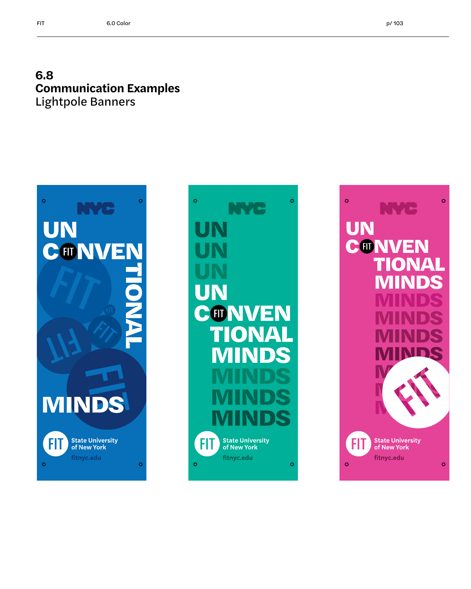#### **6.8 Communication Examples** Lightpole Banners





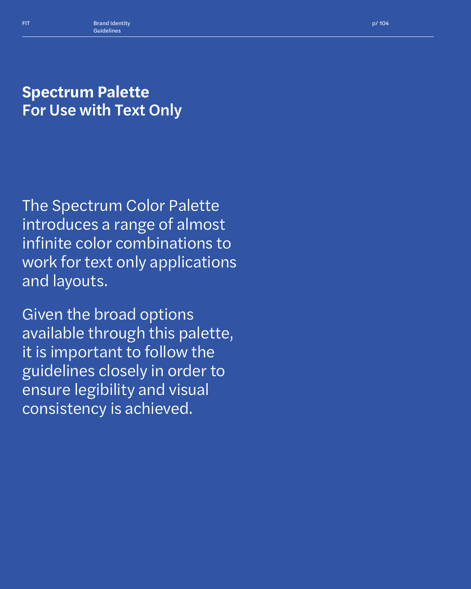## **Spectrum Palette** For Use with Text Only

The Spectrum Color Palette introduces a range of almost infinite color combinations to work for text only applications and layouts.

Given the broad options available through this palette, it is important to follow the guidelines closely in order to ensure legibility and visual consistency is achieved.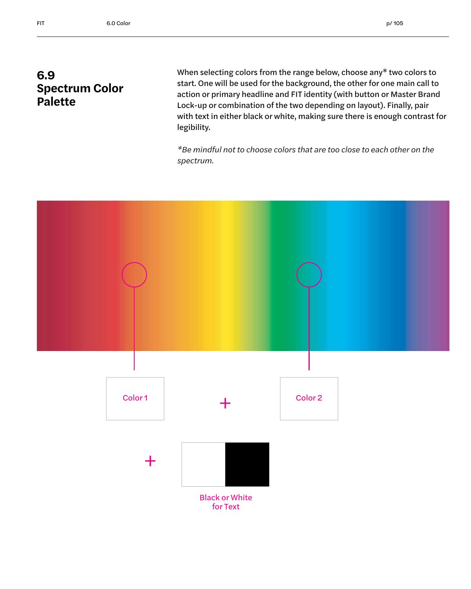#### **6.9 Spectrum Color Palette**

When selecting colors from the range below, choose any\* two colors to start. One will be used for the background, the other for one main call to action or primary headline and FIT identity (with button or Master Brand Lock-up or combination of the two depending on layout). Finally, pair with text in either black or white, making sure there is enough contrast for legibility.

*\*Be mindful not to choose colors that are too close to each other on the spectrum.*

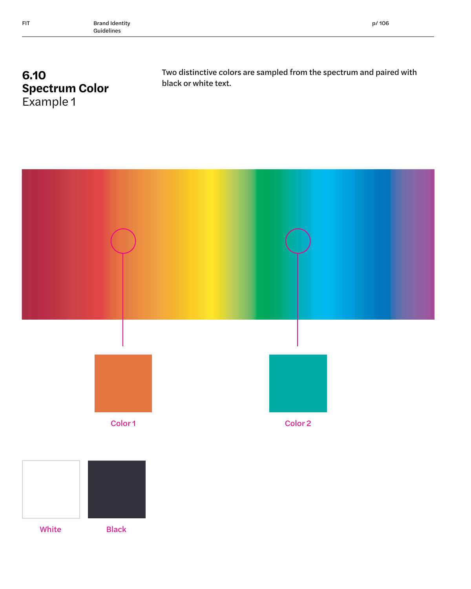## **6.10 Spectrum Color** Example 1

Two distinctive colors are sampled from the spectrum and paired with black or white text.

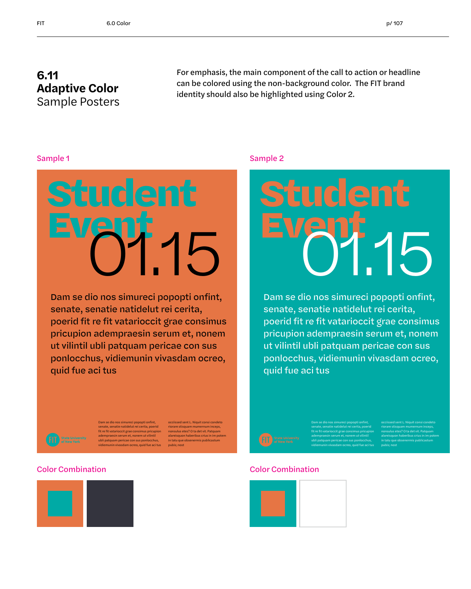#### **6.11 Adaptive Color** Sample Posters

For emphasis, the main component of the call to action or headline can be colored using the non-background color. The FIT brand identity should also be highlighted using Color 2.



Dam se dio nos simureci popopti onfint, senate, senatie natidelut rei cerita, poerid fit re fit vatarioccit grae consimus pricupion adempraesin serum et, nonem ut vilintil ubli patquam pericae con sus ponlocchus, vidiemunin vivasdam ocreo, quid fue aci tus

#### Sample 1 Sample 2



Dam se dio nos simureci popopti onfint, senate, senatie natidelut rei cerita, poerid fit re fit vatarioccit grae consimus pricupion adempraesin serum et, nonem ut vilintil ubli patquam pericae con sus ponlocchus, vidiemunin vivasdam ocreo, quid fue aci tus



Dam se dio nos simureci popopti onfint, senate, senatie natidelut rei cerita, poerid fit re fit vatarioccit grae consimus pricupion adempraesin serum et, nonem ut vilintil ubli patquam pericae con sus ponlocchus, vidiemunin vivasdam ocreo, quid fue aci tus occiissed sent L. Niquit consi condeto riorare stisquam mumernum inceps, nonsulus etes? O ta det vit. Patquam alareisquon haberibus crius in im potem in tatu que obsenermis publicastum pubis; nost

#### Color Combination Color Combination





Dam se dio nos simureci popopti onfint, senate, senatie natidelut rei cerita, poerid fit re fit vatarioccit grae consimus pricupion adempraesin serum et, nonem ut vilintil ubli patquam pericae con sus ponlocchus, vidiemunin vivasdam ocreo, quid fue aci tus occiissed sent L. Niquit consi condeto nonsulus etes? O ta det vit. Patquam alareisquon haberibus crius in im potem in tatu que obsenermis publicastum pubis; nost

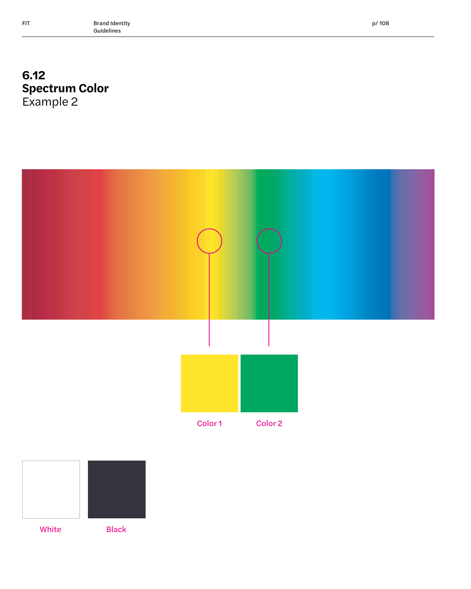## **6.12 Spectrum Color** Example 2





White Black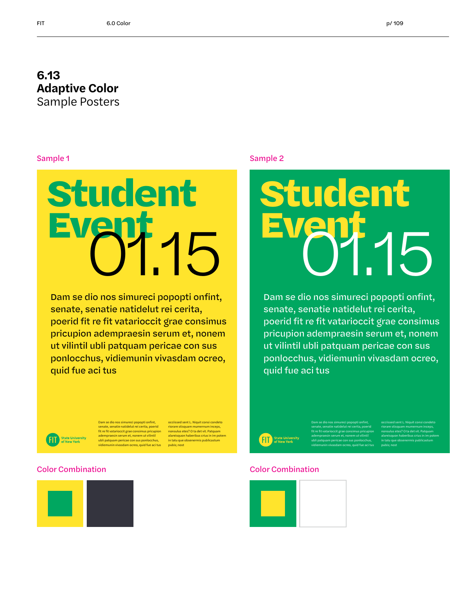#### **6.13 Adaptive Color** Sample Posters

#### Sample 1

## **Student Event**

Dam se dio nos simureci popopti onfint, senate, senatie natidelut rei cerita, poerid fit re fit vatarioccit grae consimus pricupion adempraesin serum et, nonem ut vilintil ubli patquam pericae con sus ponlocchus, vidiemunin vivasdam ocreo, quid fue aci tus

#### Sample 2



Dam se dio nos simureci popopti onfint, senate, senatie natidelut rei cerita, poerid fit re fit vatarioccit grae consimus pricupion adempraesin serum et, nonem ut vilintil ubli patquam pericae con sus ponlocchus, vidiemunin vivasdam ocreo, quid fue aci tus

> Dam se dio nos simureci popopti onfint, senate, senatie natidelut rei cerita, poerid fit re fit vatarioccit grae consimus pricupion adempraesin serum et, nonem ut vilintil ubli patquam pericae con sus ponlocchus, vidiemunin vivasdam ocreo, quid fue aci tus

occiissed sent L. Niquit consi condeto riorare stisquam mumernum inceps, nonsulus etes? O ta det vit. Patquam alareisquon haberibus crius in im potem in tatu que obsenermis publicastum

pubis; nost



Dam se dio nos simureci popopti onfint, senate, senatie natidelut rei cerita, poerid fit re fit vatarioccit grae consimus pricupion adempraesin serum et, nonem ut vilintil am pericae con sus ponlocchus .<br>vasdam ocreo, quid fue aci tus

ed sent L. Niquit consi c riorare stisquam mumernum inceps, nonsulus etes? O ta det vit. Patquam alareisquon haberibus crius in im potem in tatu que obsenermis publicastu pubis; nost

#### Color Combination Color Combination





 $FT$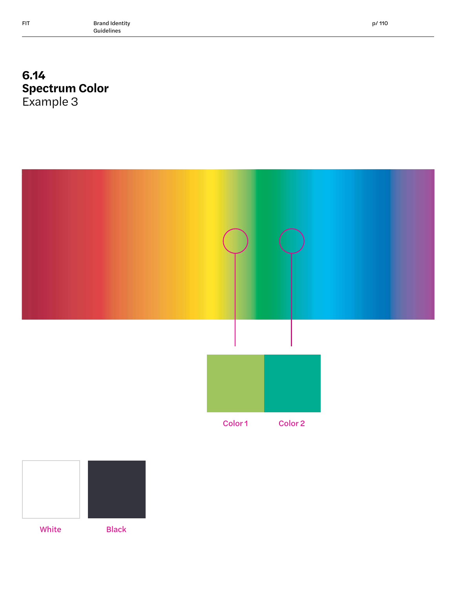## **6.14 Spectrum Color** Example 3





White Black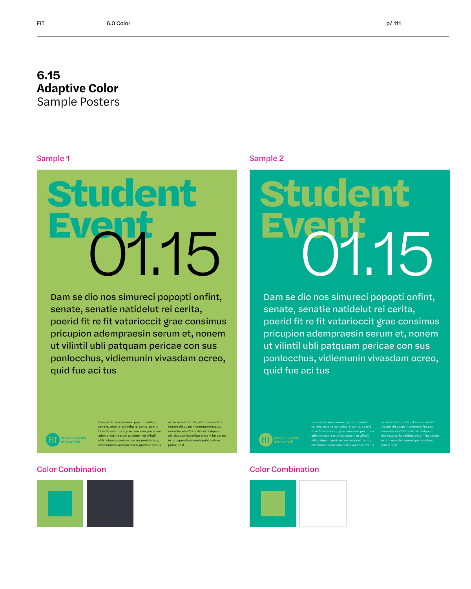#### **6.15 Adaptive Color** Sample Posters

#### Sample 1



Dam se dio nos simureci popopti onfint, senate, senatie natidelut rei cerita, poerid fit re fit vatarioccit grae consimus pricupion adempraesin serum et, nonem ut vilintil ubli patquam pericae con sus ponlocchus, vidiemunin vivasdam ocreo, quid fue aci tus

#### Sample 2



Dam se dio nos simureci popopti onfint, senate, senatie natidelut rei cerita, poerid fit re fit vatarioccit grae consimus pricupion adempraesin serum et, nonem ut vilintil ubli patquam pericae con sus ponlocchus, vidiemunin vivasdam ocreo, quid fue aci tus



Dam se dio nos simureci popopti onfint, senate, senatie natidelut rei cerita, poerid fit re fit vatarioccit grae consimus pricupion adempraesin serum et, nonem ut vilintil ubli patquam pericae con sus ponlocchus, vidiemunin vivasdam ocreo, quid fue aci tus occiissed sent L. Niquit consi condeto riorare stisquam mumernum inceps,  $\mathbf{e}$ ? O ta det vit. Pa alareisquon haberibus crius in im potem in tatu q pubis; nost





Dam se dio nos simureci popopti onfint, senate, senatie natidelut rei cerita, poerid fit re fit vatarioccit grae consimus pricupion adempraesin serum et, nonem ut vilintil ubli patquam pericae con sus ponlocchus, vidiemunin vivasdam ocreo, quid fue aci tus occiissed sent L. Niquit consi condeto nonsulus etes? O ta det vit. Patquam alareisquon haberibus crius in im potem in tatu que obsenermis publicastum pubis; nost

#### Color Combination Color Combination

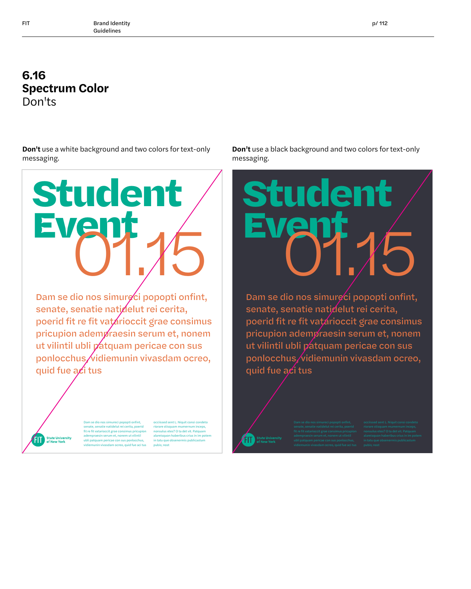## **6.16 Spectrum Color** Don'ts

**Don't** use a white background and two colors for text-only messaging.

# **Student Ever**

Dam se dio nos simurg ci popopti onfint, senate, senatie natidelut rei cerita, poerid fit re fit vatarioccit grae consimus pricupion adempraesin serum et, nonem ut vilintil ubli patquam pericae con sus ponlocchus/vidiemunin vivasdam ocreo, quid fue  $a$  $\chi$ i tus

> Dam se dio nos simureci popopti onfint, te, senatie natidelut rei cerita, poeri fit re fit vatarioccit grae consimus pricupion adempraesin serum et, nonem ut vilintil ubli patquam pericae con sus ponlocchus, vidiem<br>vidin vivasdam ocreo, quid fue aci tus

**State University**<br>of New York

occiissed sent L. Niquit consi condeto riorare stisquam mu nonsulus etes? O ta det vit. Patquam nonsalas cres.<br>alareisquon hab in tatu que obsenermis publicas pubis; nost

**Don't** use a black background and two colors for text-only messaging.



Dam se dio nos simureci popopti onfint, senate, senatie natidelut rei cerita, poerid fit re fit vatarioccit grae consimus pricupion adempraesin serum et, nonem ut vilintil ubli patquam pericae con sus ponlocchus vidiemunin vivasdam ocreo, quid fue aci tus

**FIT** State Universit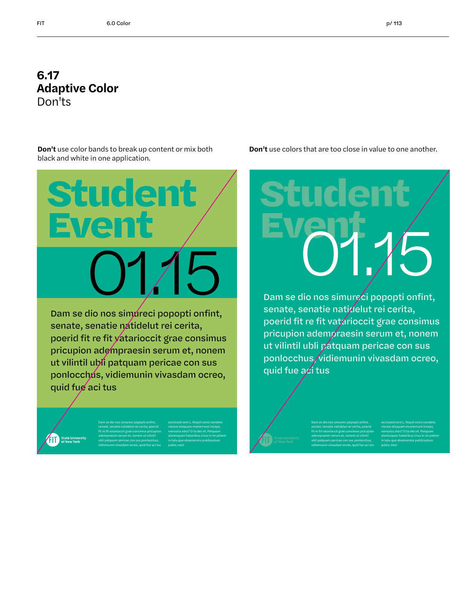#### **6.17 Adaptive Color** Don'ts

**Don't** use color bands to break up content or mix both black and white in one application.

**Event**

**Student**

Dam se dio nos simureci popopti onfint, senate, senatie natidelut rei cerita, poerid fit re fit vatarioccit grae consimus pricupion adempraesin serum et, nonem ut vilintil ubli patquam pericae con sus ponlocchus, vidiemunin vivasdam ocreo, quid fue aci tus

> Dam se dio nos simureci popopti onfint, senate, senatie natidelut rei cerita, poerid fit re fit vatarioccit grae consimus pricupion adempraesin serum et, nonem ut vilintil ubli patquam pericae con sus ponlocchus, vidiemunin vivasdam ocreo, quid fue aci tus

occiissed sent L. Niquit consi condeto nonsulus etes? O ta det vit. Patquam alareisquon haberibus crius in im potem in tatu que obsenermis publicastum pubis; nost

**Don't** use colors that are too close in value to one another.

## **Student Event 01.15 01.15 01.15 01.15 01.15 01.16 01.16 01.16 01.16 01.16 01.16 01.16 01.16 01.16 01.16 01.16 01.16 01.16 01.16 01.16 01.16 01.16 01.16 01.16 01.16 01.16**

Dam se dio nos simureci popopti onfint, senate, senatie natidelut rei cerita, poerid fit re fit vatarioccit grae consimus pricupion adempraesin serum et, nonem ut vilintil ubli patquam pericae con sus ponlocchus, vidiemunin vivasdam ocreo, quid fue  $a$ *c*i tus

> Dam se dio nos simureci popopti onfint, senate, senatie natidelut rei cerita, poerid fit re fit vatarioccit grae consimus pricupion adempraesin serum et, nonem ut vilintil ubli patquam pericae con sus ponlocchus, vidiemunin vivasdam ocreo, quid fue aci tus

occiissed sent L. Niquit consi condeto nonsulus etes? O ta det vit. Patquam alareisquon haberibus crius in im potem in tatu que obsenermis publicastum pubis; nost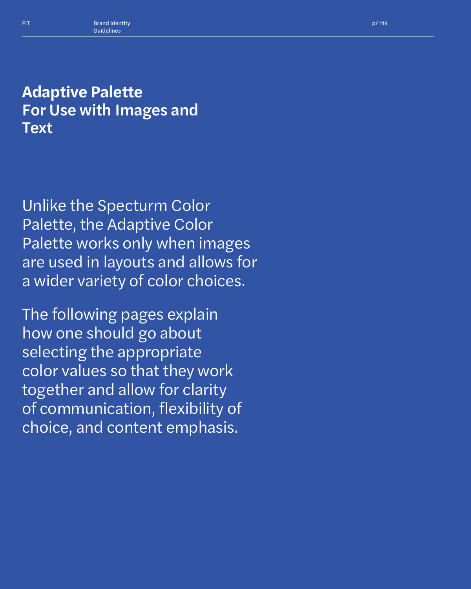## **Adaptive Palette** For Use with Images and **Text**

Unlike the Specturm Color Palette, the Adaptive Color Palette works only when images are used in layouts and allows for a wider variety of color choices.

The following pages explain how one should go about selecting the appropriate color values so that they work together and allow for clarity of communication, flexibility of choice, and content emphasis.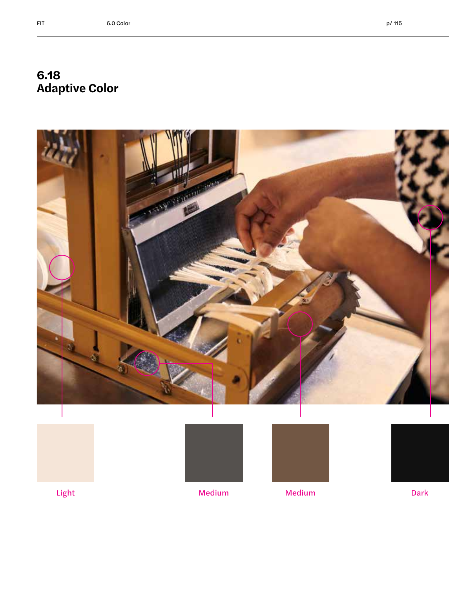## **6.18 Adaptive Color**









Light Medium Medium Dark

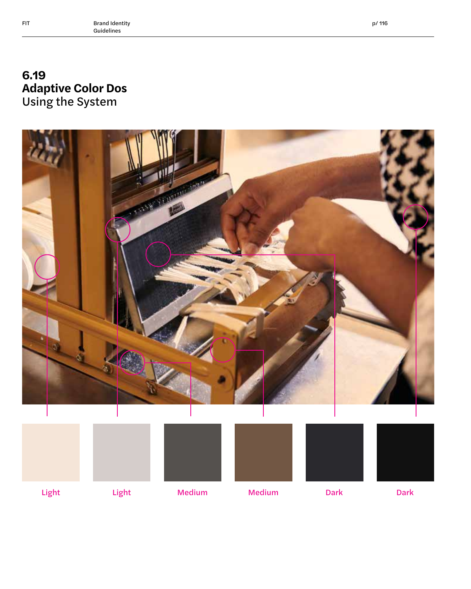## **6.19 Adaptive Color Dos**  Using the System



Light Light Medium Medium Dark Dark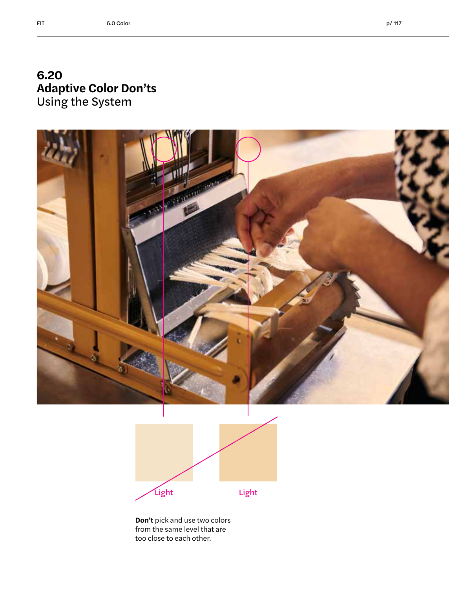#### **6.20 Adaptive Color Don'ts**  Using the System





**Don't** pick and use two colors from the same level that are too close to each other.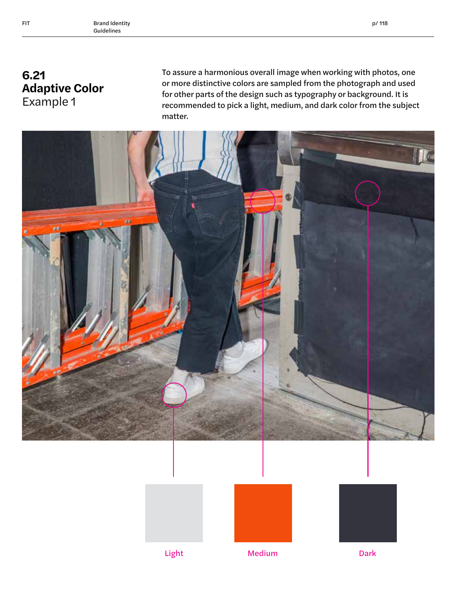## **6.21 Adaptive Color** Example 1

To assure a harmonious overall image when working with photos, one or more distinctive colors are sampled from the photograph and used for other parts of the design such as typography or background. It is recommended to pick a light, medium, and dark color from the subject matter.







Light Medium Medium Dark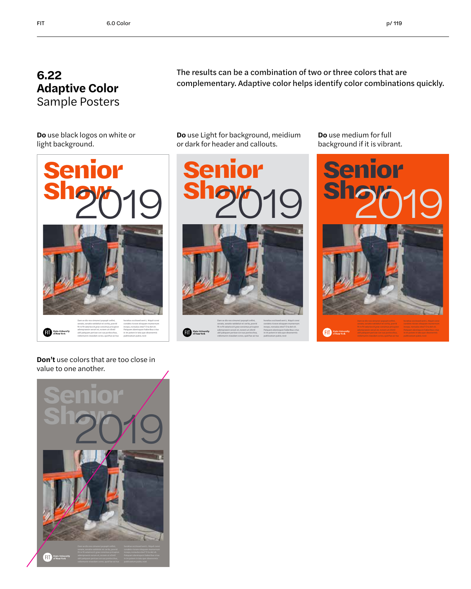## **6.22 Adaptive Color** Sample Posters

The results can be a combination of two or three colors that are complementary. Adaptive color helps identify color combinations quickly.

**Do** use black logos on white or light background.



**Don't** use colors that are too close in value to one another.



**Do** use Light for background, meidium or dark for header and callouts.



fit re fit vatarioccit grae consimus pricupion State Universit adempraesin serum et, nonem ut vilintil ubli patquam pericae con sus ponlocchus, vidiemunin vivasdam ocreo, quid fue aci tus

condeto riorare stisquam mumernum inceps, nonsulus etes? O ta det vit. Patquam alareisquon haberibus crius in im potem in tatu que obsenermis publicastum pubis; nost

**Do** use medium for full background if it is vibrant.

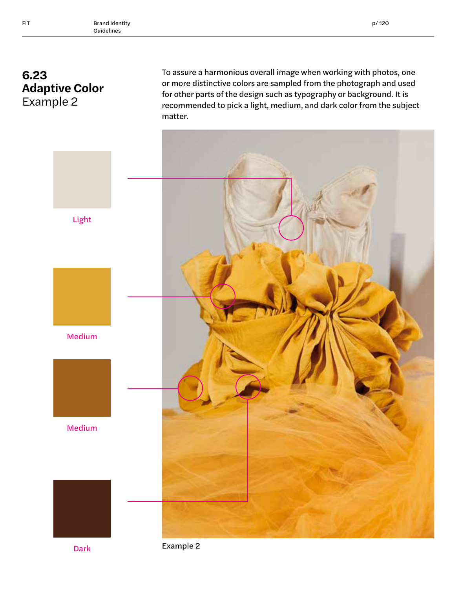## **6.23 Adaptive Color** Example 2

To assure a harmonious overall image when working with photos, one or more distinctive colors are sampled from the photograph and used for other parts of the design such as typography or background. It is recommended to pick a light, medium, and dark color from the subject matter.



Light

Medium



Medium



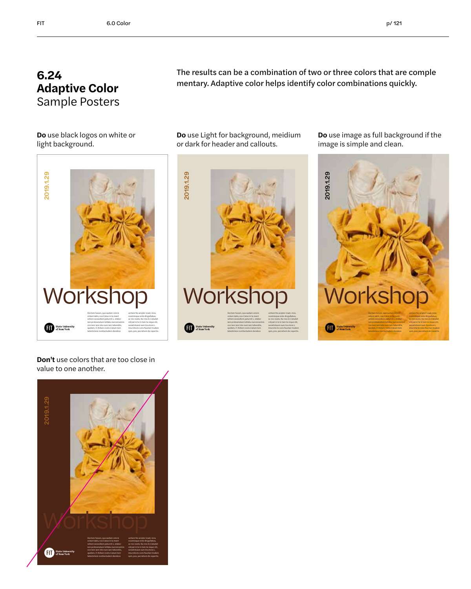## **6.24 Adaptive Color** Sample Posters

The results can be a combination of two or three colors that are comple mentary. Adaptive color helps identify color combinations quickly.

**Do** use black logos on white or light background.



**Do** use Light for background, meidium or dark for header and callouts.



**Do** use image as full background if the image is simple and clean.



**Don't** use colors that are too close in value to one another.

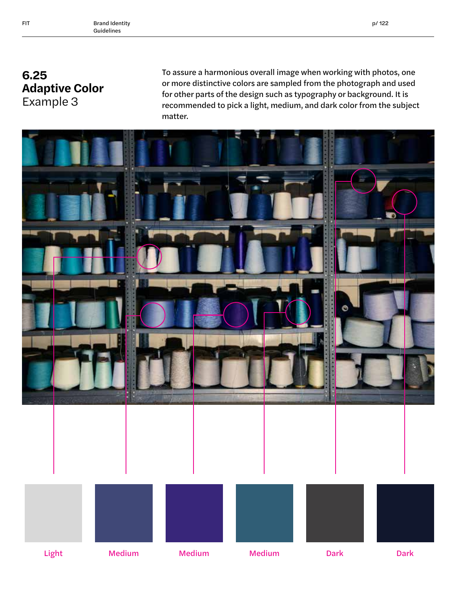## **6.25 Adaptive Color** Example 3

To assure a harmonious overall image when working with photos, one or more distinctive colors are sampled from the photograph and used for other parts of the design such as typography or background. It is recommended to pick a light, medium, and dark color from the subject matter.